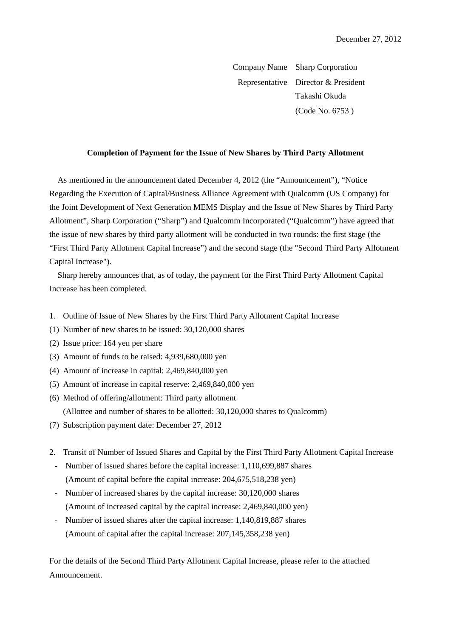Company Name Sharp Corporation Representative Director & President Takashi Okuda (Code No. 6753 )

## **Completion of Payment for the Issue of New Shares by Third Party Allotment**

As mentioned in the announcement dated December 4, 2012 (the "Announcement"), "Notice Regarding the Execution of Capital/Business Alliance Agreement with Qualcomm (US Company) for the Joint Development of Next Generation MEMS Display and the Issue of New Shares by Third Party Allotment", Sharp Corporation ("Sharp") and Qualcomm Incorporated ("Qualcomm") have agreed that the issue of new shares by third party allotment will be conducted in two rounds: the first stage (the "First Third Party Allotment Capital Increase") and the second stage (the "Second Third Party Allotment Capital Increase").

Sharp hereby announces that, as of today, the payment for the First Third Party Allotment Capital Increase has been completed.

- 1. Outline of Issue of New Shares by the First Third Party Allotment Capital Increase
- (1) Number of new shares to be issued: 30,120,000 shares
- (2) Issue price: 164 yen per share
- (3) Amount of funds to be raised: 4,939,680,000 yen
- (4) Amount of increase in capital: 2,469,840,000 yen
- (5) Amount of increase in capital reserve: 2,469,840,000 yen
- (6) Method of offering/allotment: Third party allotment (Allottee and number of shares to be allotted: 30,120,000 shares to Qualcomm)
- (7) Subscription payment date: December 27, 2012
- 2. Transit of Number of Issued Shares and Capital by the First Third Party Allotment Capital Increase
- Number of issued shares before the capital increase: 1,110,699,887 shares (Amount of capital before the capital increase: 204,675,518,238 yen)
- Number of increased shares by the capital increase: 30,120,000 shares (Amount of increased capital by the capital increase: 2,469,840,000 yen)
- Number of issued shares after the capital increase: 1,140,819,887 shares (Amount of capital after the capital increase: 207,145,358,238 yen)

For the details of the Second Third Party Allotment Capital Increase, please refer to the attached Announcement.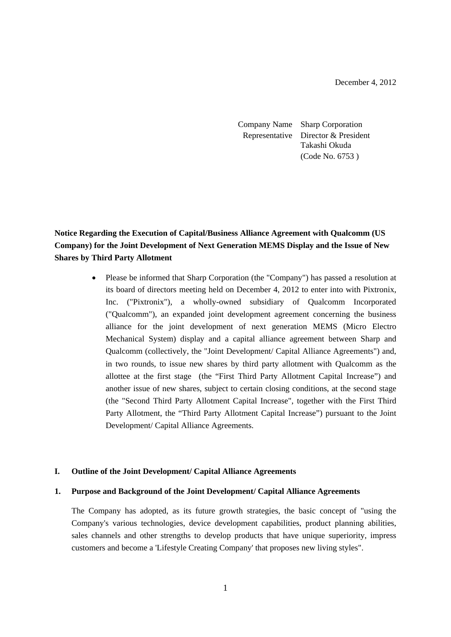December 4, 2012

Company Name Sharp Corporation Representative Director & President Takashi Okuda (Code No. 6753 )

# **Notice Regarding the Execution of Capital/Business Alliance Agreement with Qualcomm (US Company) for the Joint Development of Next Generation MEMS Display and the Issue of New Shares by Third Party Allotment**

 Please be informed that Sharp Corporation (the "Company") has passed a resolution at its board of directors meeting held on December 4, 2012 to enter into with Pixtronix, Inc. ("Pixtronix"), a wholly-owned subsidiary of Qualcomm Incorporated ("Qualcomm"), an expanded joint development agreement concerning the business alliance for the joint development of next generation MEMS (Micro Electro Mechanical System) display and a capital alliance agreement between Sharp and Qualcomm (collectively, the "Joint Development/ Capital Alliance Agreements") and, in two rounds, to issue new shares by third party allotment with Qualcomm as the allottee at the first stage (the "First Third Party Allotment Capital Increase") and another issue of new shares, subject to certain closing conditions, at the second stage (the "Second Third Party Allotment Capital Increase", together with the First Third Party Allotment, the "Third Party Allotment Capital Increase") pursuant to the Joint Development/ Capital Alliance Agreements.

# **I. Outline of the Joint Development/ Capital Alliance Agreements**

#### **1. Purpose and Background of the Joint Development/ Capital Alliance Agreements**

The Company has adopted, as its future growth strategies, the basic concept of "using the Company's various technologies, device development capabilities, product planning abilities, sales channels and other strengths to develop products that have unique superiority, impress customers and become a 'Lifestyle Creating Company' that proposes new living styles".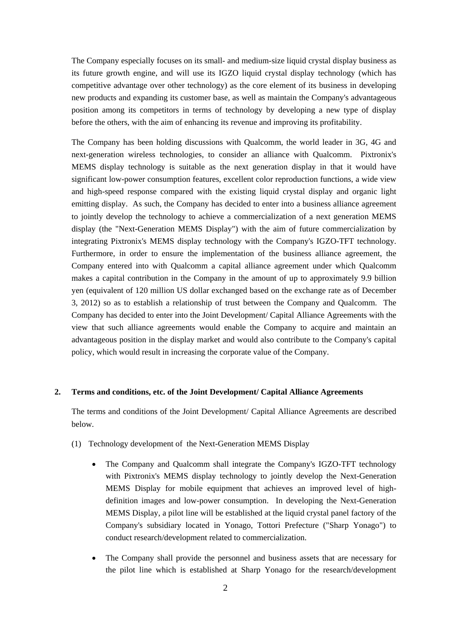The Company especially focuses on its small- and medium-size liquid crystal display business as its future growth engine, and will use its IGZO liquid crystal display technology (which has competitive advantage over other technology) as the core element of its business in developing new products and expanding its customer base, as well as maintain the Company's advantageous position among its competitors in terms of technology by developing a new type of display before the others, with the aim of enhancing its revenue and improving its profitability.

The Company has been holding discussions with Qualcomm, the world leader in 3G, 4G and next-generation wireless technologies, to consider an alliance with Qualcomm. Pixtronix's MEMS display technology is suitable as the next generation display in that it would have significant low-power consumption features, excellent color reproduction functions, a wide view and high-speed response compared with the existing liquid crystal display and organic light emitting display. As such, the Company has decided to enter into a business alliance agreement to jointly develop the technology to achieve a commercialization of a next generation MEMS display (the "Next-Generation MEMS Display") with the aim of future commercialization by integrating Pixtronix's MEMS display technology with the Company's IGZO-TFT technology. Furthermore, in order to ensure the implementation of the business alliance agreement, the Company entered into with Qualcomm a capital alliance agreement under which Qualcomm makes a capital contribution in the Company in the amount of up to approximately 9.9 billion yen (equivalent of 120 million US dollar exchanged based on the exchange rate as of December 3, 2012) so as to establish a relationship of trust between the Company and Qualcomm. The Company has decided to enter into the Joint Development/ Capital Alliance Agreements with the view that such alliance agreements would enable the Company to acquire and maintain an advantageous position in the display market and would also contribute to the Company's capital policy, which would result in increasing the corporate value of the Company.

#### **2. Terms and conditions, etc. of the Joint Development/ Capital Alliance Agreements**

The terms and conditions of the Joint Development/ Capital Alliance Agreements are described below.

- (1) Technology development of the Next-Generation MEMS Display
	- The Company and Qualcomm shall integrate the Company's IGZO-TFT technology with Pixtronix's MEMS display technology to jointly develop the Next-Generation MEMS Display for mobile equipment that achieves an improved level of highdefinition images and low-power consumption. In developing the Next-Generation MEMS Display, a pilot line will be established at the liquid crystal panel factory of the Company's subsidiary located in Yonago, Tottori Prefecture ("Sharp Yonago") to conduct research/development related to commercialization.
	- The Company shall provide the personnel and business assets that are necessary for the pilot line which is established at Sharp Yonago for the research/development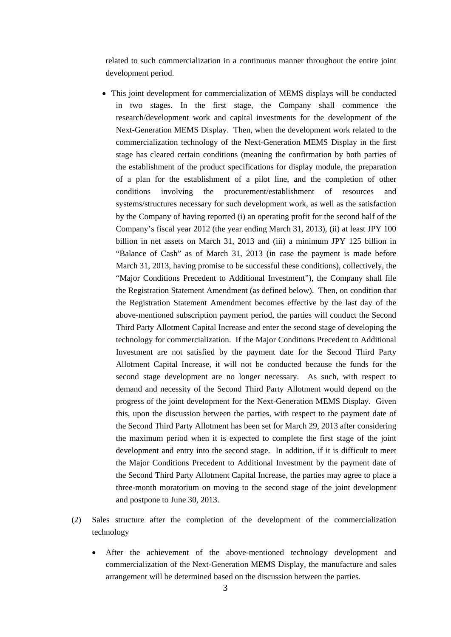related to such commercialization in a continuous manner throughout the entire joint development period.

- This joint development for commercialization of MEMS displays will be conducted in two stages. In the first stage, the Company shall commence the research/development work and capital investments for the development of the Next-Generation MEMS Display. Then, when the development work related to the commercialization technology of the Next-Generation MEMS Display in the first stage has cleared certain conditions (meaning the confirmation by both parties of the establishment of the product specifications for display module, the preparation of a plan for the establishment of a pilot line, and the completion of other conditions involving the procurement/establishment of resources and systems/structures necessary for such development work, as well as the satisfaction by the Company of having reported (i) an operating profit for the second half of the Company's fiscal year 2012 (the year ending March 31, 2013), (ii) at least JPY 100 billion in net assets on March 31, 2013 and (iii) a minimum JPY 125 billion in "Balance of Cash" as of March 31, 2013 (in case the payment is made before March 31, 2013, having promise to be successful these conditions), collectively, the "Major Conditions Precedent to Additional Investment"), the Company shall file the Registration Statement Amendment (as defined below). Then, on condition that the Registration Statement Amendment becomes effective by the last day of the above-mentioned subscription payment period, the parties will conduct the Second Third Party Allotment Capital Increase and enter the second stage of developing the technology for commercialization. If the Major Conditions Precedent to Additional Investment are not satisfied by the payment date for the Second Third Party Allotment Capital Increase, it will not be conducted because the funds for the second stage development are no longer necessary. As such, with respect to demand and necessity of the Second Third Party Allotment would depend on the progress of the joint development for the Next-Generation MEMS Display. Given this, upon the discussion between the parties, with respect to the payment date of the Second Third Party Allotment has been set for March 29, 2013 after considering the maximum period when it is expected to complete the first stage of the joint development and entry into the second stage. In addition, if it is difficult to meet the Major Conditions Precedent to Additional Investment by the payment date of the Second Third Party Allotment Capital Increase, the parties may agree to place a three-month moratorium on moving to the second stage of the joint development and postpone to June 30, 2013.
- (2) Sales structure after the completion of the development of the commercialization technology
	- After the achievement of the above-mentioned technology development and commercialization of the Next-Generation MEMS Display, the manufacture and sales arrangement will be determined based on the discussion between the parties.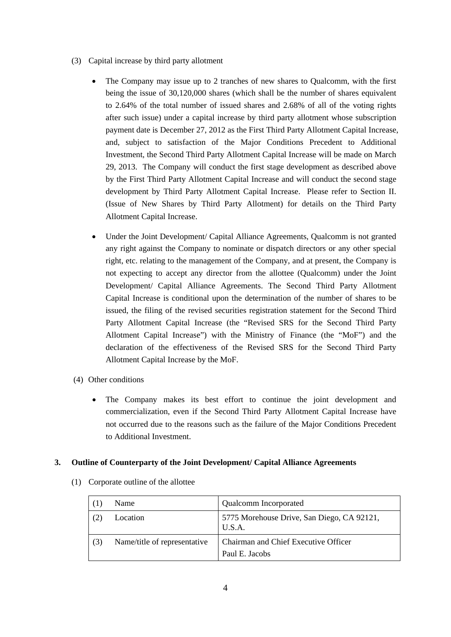- (3) Capital increase by third party allotment
	- The Company may issue up to 2 tranches of new shares to Qualcomm, with the first being the issue of 30,120,000 shares (which shall be the number of shares equivalent to 2.64% of the total number of issued shares and 2.68% of all of the voting rights after such issue) under a capital increase by third party allotment whose subscription payment date is December 27, 2012 as the First Third Party Allotment Capital Increase, and, subject to satisfaction of the Major Conditions Precedent to Additional Investment, the Second Third Party Allotment Capital Increase will be made on March 29, 2013. The Company will conduct the first stage development as described above by the First Third Party Allotment Capital Increase and will conduct the second stage development by Third Party Allotment Capital Increase. Please refer to Section II. (Issue of New Shares by Third Party Allotment) for details on the Third Party Allotment Capital Increase.
	- Under the Joint Development/ Capital Alliance Agreements, Qualcomm is not granted any right against the Company to nominate or dispatch directors or any other special right, etc. relating to the management of the Company, and at present, the Company is not expecting to accept any director from the allottee (Qualcomm) under the Joint Development/ Capital Alliance Agreements. The Second Third Party Allotment Capital Increase is conditional upon the determination of the number of shares to be issued, the filing of the revised securities registration statement for the Second Third Party Allotment Capital Increase (the "Revised SRS for the Second Third Party Allotment Capital Increase") with the Ministry of Finance (the "MoF") and the declaration of the effectiveness of the Revised SRS for the Second Third Party Allotment Capital Increase by the MoF.
- (4) Other conditions
	- The Company makes its best effort to continue the joint development and commercialization, even if the Second Third Party Allotment Capital Increase have not occurred due to the reasons such as the failure of the Major Conditions Precedent to Additional Investment.

# **3. Outline of Counterparty of the Joint Development/ Capital Alliance Agreements**

|     | Name                         | <b>Qualcomm</b> Incorporated                                  |
|-----|------------------------------|---------------------------------------------------------------|
|     | Location                     | 5775 Morehouse Drive, San Diego, CA 92121,<br>U.S.A.          |
| (3) | Name/title of representative | <b>Chairman and Chief Executive Officer</b><br>Paul E. Jacobs |

(1) Corporate outline of the allottee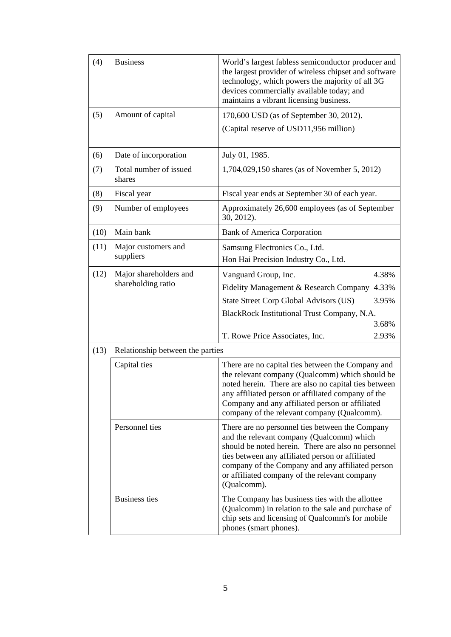| (4)  | <b>Business</b>                              | World's largest fabless semiconductor producer and<br>the largest provider of wireless chipset and software<br>technology, which powers the majority of all 3G<br>devices commercially available today; and<br>maintains a vibrant licensing business.                                                                      |  |  |
|------|----------------------------------------------|-----------------------------------------------------------------------------------------------------------------------------------------------------------------------------------------------------------------------------------------------------------------------------------------------------------------------------|--|--|
| (5)  | Amount of capital                            | 170,600 USD (as of September 30, 2012).                                                                                                                                                                                                                                                                                     |  |  |
|      |                                              | (Capital reserve of USD11,956 million)                                                                                                                                                                                                                                                                                      |  |  |
| (6)  | Date of incorporation                        | July 01, 1985.                                                                                                                                                                                                                                                                                                              |  |  |
| (7)  | Total number of issued<br>shares             | 1,704,029,150 shares (as of November 5, 2012)                                                                                                                                                                                                                                                                               |  |  |
| (8)  | Fiscal year                                  | Fiscal year ends at September 30 of each year.                                                                                                                                                                                                                                                                              |  |  |
| (9)  | Number of employees                          | Approximately 26,600 employees (as of September<br>30, 2012).                                                                                                                                                                                                                                                               |  |  |
| (10) | Main bank                                    | <b>Bank of America Corporation</b>                                                                                                                                                                                                                                                                                          |  |  |
| (11) | Major customers and<br>suppliers             | Samsung Electronics Co., Ltd.<br>Hon Hai Precision Industry Co., Ltd.                                                                                                                                                                                                                                                       |  |  |
| (12) | Major shareholders and<br>shareholding ratio | 4.38%<br>Vanguard Group, Inc.                                                                                                                                                                                                                                                                                               |  |  |
|      |                                              | Fidelity Management & Research Company<br>4.33%                                                                                                                                                                                                                                                                             |  |  |
|      |                                              | State Street Corp Global Advisors (US)<br>3.95%                                                                                                                                                                                                                                                                             |  |  |
|      |                                              | BlackRock Institutional Trust Company, N.A.                                                                                                                                                                                                                                                                                 |  |  |
|      |                                              | 3.68%                                                                                                                                                                                                                                                                                                                       |  |  |
|      |                                              | T. Rowe Price Associates, Inc.<br>2.93%                                                                                                                                                                                                                                                                                     |  |  |
| (13) | Relationship between the parties             |                                                                                                                                                                                                                                                                                                                             |  |  |
|      | Capital ties                                 | There are no capital ties between the Company and<br>the relevant company (Qualcomm) which should be<br>noted herein. There are also no capital ties between<br>any affiliated person or affiliated company of the<br>Company and any affiliated person or affiliated<br>company of the relevant company (Qualcomm).        |  |  |
|      | Personnel ties                               | There are no personnel ties between the Company<br>and the relevant company (Qualcomm) which<br>should be noted herein. There are also no personnel<br>ties between any affiliated person or affiliated<br>company of the Company and any affiliated person<br>or affiliated company of the relevant company<br>(Qualcomm). |  |  |
|      | <b>Business ties</b>                         | The Company has business ties with the allottee<br>(Qualcomm) in relation to the sale and purchase of<br>chip sets and licensing of Qualcomm's for mobile<br>phones (smart phones).                                                                                                                                         |  |  |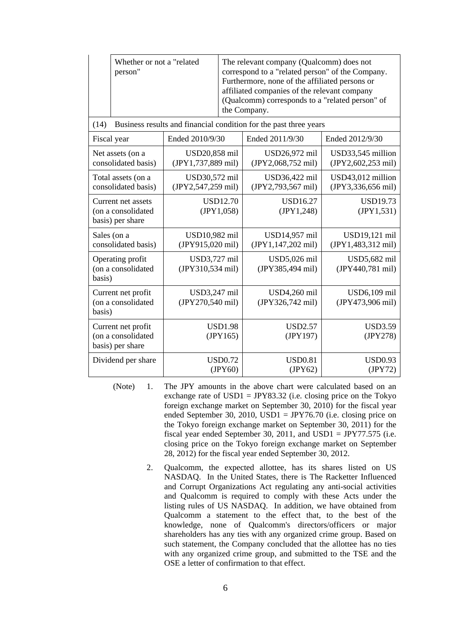|                                                              | Whether or not a "related<br>person"                         |                                     | The relevant company (Qualcomm) does not<br>correspond to a "related person" of the Company.<br>Furthermore, none of the affiliated persons or<br>affiliated companies of the relevant company<br>(Qualcomm) corresponds to a "related person" of<br>the Company. |                                                                   |                                             |
|--------------------------------------------------------------|--------------------------------------------------------------|-------------------------------------|-------------------------------------------------------------------------------------------------------------------------------------------------------------------------------------------------------------------------------------------------------------------|-------------------------------------------------------------------|---------------------------------------------|
| (14)                                                         |                                                              |                                     |                                                                                                                                                                                                                                                                   | Business results and financial condition for the past three years |                                             |
| Fiscal year                                                  |                                                              | Ended 2010/9/30                     |                                                                                                                                                                                                                                                                   | Ended 2011/9/30                                                   | Ended 2012/9/30                             |
|                                                              | Net assets (on a<br>consolidated basis)                      | USD20,858 mil<br>(JPY1,737,889 mil) |                                                                                                                                                                                                                                                                   | USD26,972 mil<br>(JPY2,068,752 mil)                               | USD33,545 million<br>$(IPY2, 602, 253$ mil) |
|                                                              | Total assets (on a<br>consolidated basis)                    | USD30,572 mil<br>(JPY2,547,259 mil) |                                                                                                                                                                                                                                                                   | USD36,422 mil<br>(JPY2,793,567 mil)                               | USD43,012 million<br>(JPY3,336,656 mil)     |
| Current net assets<br>(on a consolidated<br>basis) per share |                                                              | <b>USD12.70</b><br>(JPY1,058)       |                                                                                                                                                                                                                                                                   | <b>USD16.27</b><br>(JPY1,248)                                     | <b>USD19.73</b><br>(JPY1, 531)              |
| Sales (on a<br>consolidated basis)                           |                                                              | USD10,982 mil<br>(JPY915,020 mil)   |                                                                                                                                                                                                                                                                   | USD14,957 mil<br>(JPY1,147,202 mil)                               | USD19,121 mil<br>(JPY1,483,312 mil)         |
| Operating profit<br>(on a consolidated<br>basis)             |                                                              | USD3,727 mil<br>(JPY310,534 mil)    |                                                                                                                                                                                                                                                                   | USD5,026 mil<br>(JPY385,494 mil)                                  | USD5,682 mil<br>(JPY440,781 mil)            |
| Current net profit<br>(on a consolidated<br>basis)           |                                                              | USD3,247 mil<br>(JPY270,540 mil)    |                                                                                                                                                                                                                                                                   | USD4,260 mil<br>(JPY326,742 mil)                                  | USD6,109 mil<br>(JPY473,906 mil)            |
|                                                              | Current net profit<br>(on a consolidated<br>basis) per share |                                     | <b>USD1.98</b><br>(JPY165)                                                                                                                                                                                                                                        | <b>USD2.57</b><br>(JPY197)                                        | <b>USD3.59</b><br>(JPY278)                  |
|                                                              | Dividend per share                                           |                                     | <b>USD0.72</b><br>(IPY60)                                                                                                                                                                                                                                         | <b>USD0.81</b><br>(JPY62)                                         | <b>USD0.93</b><br>(JPY72)                   |

- (Note) 1. The JPY amounts in the above chart were calculated based on an exchange rate of  $USD1 = JPY83.32$  (i.e. closing price on the Tokyo foreign exchange market on September 30, 2010) for the fiscal year ended September 30, 2010, USD1 = JPY76.70 (i.e. closing price on the Tokyo foreign exchange market on September 30, 2011) for the fiscal year ended September 30, 2011, and USD1 = JPY77.575 (i.e. closing price on the Tokyo foreign exchange market on September 28, 2012) for the fiscal year ended September 30, 2012.
	- 2. Qualcomm, the expected allottee, has its shares listed on US NASDAQ. In the United States, there is The Racketter Influenced and Corrupt Organizations Act regulating any anti-social activities and Qualcomm is required to comply with these Acts under the listing rules of US NASDAQ. In addition, we have obtained from Qualcomm a statement to the effect that, to the best of the knowledge, none of Qualcomm's directors/officers or major shareholders has any ties with any organized crime group. Based on such statement, the Company concluded that the allottee has no ties with any organized crime group, and submitted to the TSE and the OSE a letter of confirmation to that effect.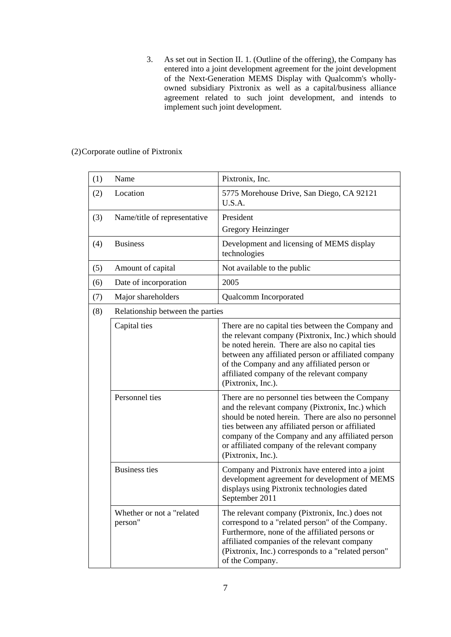3. As set out in Section II. 1. (Outline of the offering), the Company has entered into a joint development agreement for the joint development of the Next-Generation MEMS Display with Qualcomm's whollyowned subsidiary Pixtronix as well as a capital/business alliance agreement related to such joint development, and intends to implement such joint development.

| (1) | Name                                 | Pixtronix, Inc.                                                                                                                                                                                                                                                                                                                           |
|-----|--------------------------------------|-------------------------------------------------------------------------------------------------------------------------------------------------------------------------------------------------------------------------------------------------------------------------------------------------------------------------------------------|
| (2) | Location                             | 5775 Morehouse Drive, San Diego, CA 92121<br>U.S.A.                                                                                                                                                                                                                                                                                       |
| (3) | Name/title of representative         | President                                                                                                                                                                                                                                                                                                                                 |
|     |                                      | Gregory Heinzinger                                                                                                                                                                                                                                                                                                                        |
| (4) | <b>Business</b>                      | Development and licensing of MEMS display<br>technologies                                                                                                                                                                                                                                                                                 |
| (5) | Amount of capital                    | Not available to the public                                                                                                                                                                                                                                                                                                               |
| (6) | Date of incorporation                | 2005                                                                                                                                                                                                                                                                                                                                      |
| (7) | Major shareholders                   | Qualcomm Incorporated                                                                                                                                                                                                                                                                                                                     |
| (8) | Relationship between the parties     |                                                                                                                                                                                                                                                                                                                                           |
|     | Capital ties                         | There are no capital ties between the Company and<br>the relevant company (Pixtronix, Inc.) which should<br>be noted herein. There are also no capital ties<br>between any affiliated person or affiliated company<br>of the Company and any affiliated person or<br>affiliated company of the relevant company<br>(Pixtronix, Inc.).     |
|     | Personnel ties                       | There are no personnel ties between the Company<br>and the relevant company (Pixtronix, Inc.) which<br>should be noted herein. There are also no personnel<br>ties between any affiliated person or affiliated<br>company of the Company and any affiliated person<br>or affiliated company of the relevant company<br>(Pixtronix, Inc.). |
|     | <b>Business ties</b>                 | Company and Pixtronix have entered into a joint<br>development agreement for development of MEMS<br>displays using Pixtronix technologies dated<br>September 2011                                                                                                                                                                         |
|     | Whether or not a "related<br>person" | The relevant company (Pixtronix, Inc.) does not<br>correspond to a "related person" of the Company.<br>Furthermore, none of the affiliated persons or<br>affiliated companies of the relevant company<br>(Pixtronix, Inc.) corresponds to a "related person"<br>of the Company.                                                           |

(2) Corporate outline of Pixtronix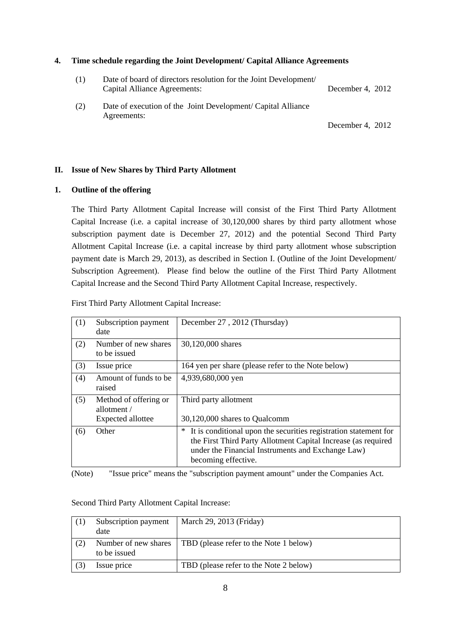#### **4. Time schedule regarding the Joint Development/ Capital Alliance Agreements**

| (1) | Date of board of directors resolution for the Joint Development/<br>Capital Alliance Agreements: | December 4, 2012 |
|-----|--------------------------------------------------------------------------------------------------|------------------|
| (2) | Date of execution of the Joint Development/ Capital Alliance<br>Agreements:                      |                  |
|     |                                                                                                  | December 4, 2012 |

# **II. Issue of New Shares by Third Party Allotment**

# **1. Outline of the offering**

The Third Party Allotment Capital Increase will consist of the First Third Party Allotment Capital Increase (i.e. a capital increase of 30,120,000 shares by third party allotment whose subscription payment date is December 27, 2012) and the potential Second Third Party Allotment Capital Increase (i.e. a capital increase by third party allotment whose subscription payment date is March 29, 2013), as described in Section I. (Outline of the Joint Development/ Subscription Agreement). Please find below the outline of the First Third Party Allotment Capital Increase and the Second Third Party Allotment Capital Increase, respectively.

| (1) | Subscription payment<br>date                              | December 27, 2012 (Thursday)                                                                                                                                                                                       |
|-----|-----------------------------------------------------------|--------------------------------------------------------------------------------------------------------------------------------------------------------------------------------------------------------------------|
| (2) | Number of new shares<br>to be issued                      | 30,120,000 shares                                                                                                                                                                                                  |
| (3) | Issue price                                               | 164 yen per share (please refer to the Note below)                                                                                                                                                                 |
| (4) | Amount of funds to be.<br>raised                          | 4,939,680,000 yen                                                                                                                                                                                                  |
| (5) | Method of offering or<br>allotment /<br>Expected allottee | Third party allotment<br>30,120,000 shares to Qualcomm                                                                                                                                                             |
| (6) | Other.                                                    | It is conditional upon the securities registration statement for<br>∗<br>the First Third Party Allotment Capital Increase (as required<br>under the Financial Instruments and Exchange Law)<br>becoming effective. |

First Third Party Allotment Capital Increase:

(Note) "Issue price" means the "subscription payment amount" under the Companies Act.

|     | Subscription payment<br>date         | March 29, 2013 (Friday)                |
|-----|--------------------------------------|----------------------------------------|
| (2) | Number of new shares<br>to be issued | TBD (please refer to the Note 1 below) |
|     | Issue price                          | TBD (please refer to the Note 2 below) |

Second Third Party Allotment Capital Increase: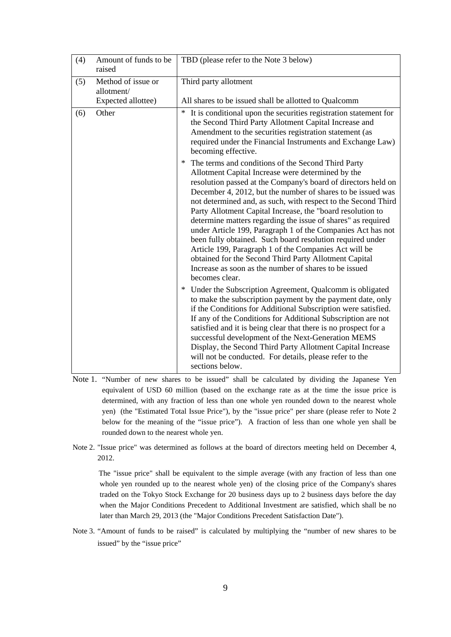| (4) | Amount of funds to be<br>raised                        | TBD (please refer to the Note 3 below)                                                                                                                                                                                                                                                                                                                                                                                                                                                                                                                                                                                                                                                                                                                            |
|-----|--------------------------------------------------------|-------------------------------------------------------------------------------------------------------------------------------------------------------------------------------------------------------------------------------------------------------------------------------------------------------------------------------------------------------------------------------------------------------------------------------------------------------------------------------------------------------------------------------------------------------------------------------------------------------------------------------------------------------------------------------------------------------------------------------------------------------------------|
| (5) | Method of issue or<br>allotment/<br>Expected allottee) | Third party allotment<br>All shares to be issued shall be allotted to Qualcomm                                                                                                                                                                                                                                                                                                                                                                                                                                                                                                                                                                                                                                                                                    |
| (6) | Other                                                  | It is conditional upon the securities registration statement for<br>$\ast$<br>the Second Third Party Allotment Capital Increase and<br>Amendment to the securities registration statement (as<br>required under the Financial Instruments and Exchange Law)<br>becoming effective.                                                                                                                                                                                                                                                                                                                                                                                                                                                                                |
|     |                                                        | * The terms and conditions of the Second Third Party<br>Allotment Capital Increase were determined by the<br>resolution passed at the Company's board of directors held on<br>December 4, 2012, but the number of shares to be issued was<br>not determined and, as such, with respect to the Second Third<br>Party Allotment Capital Increase, the "board resolution to<br>determine matters regarding the issue of shares" as required<br>under Article 199, Paragraph 1 of the Companies Act has not<br>been fully obtained. Such board resolution required under<br>Article 199, Paragraph 1 of the Companies Act will be<br>obtained for the Second Third Party Allotment Capital<br>Increase as soon as the number of shares to be issued<br>becomes clear. |
|     |                                                        | Under the Subscription Agreement, Qualcomm is obligated<br>$\ast$<br>to make the subscription payment by the payment date, only<br>if the Conditions for Additional Subscription were satisfied.<br>If any of the Conditions for Additional Subscription are not<br>satisfied and it is being clear that there is no prospect for a<br>successful development of the Next-Generation MEMS<br>Display, the Second Third Party Allotment Capital Increase<br>will not be conducted. For details, please refer to the<br>sections below.                                                                                                                                                                                                                             |

- Note 1. "Number of new shares to be issued" shall be calculated by dividing the Japanese Yen equivalent of USD 60 million (based on the exchange rate as at the time the issue price is determined, with any fraction of less than one whole yen rounded down to the nearest whole yen) (the "Estimated Total Issue Price"), by the "issue price" per share (please refer to Note 2 below for the meaning of the "issue price"). A fraction of less than one whole yen shall be rounded down to the nearest whole yen.
- Note 2. "Issue price" was determined as follows at the board of directors meeting held on December 4, 2012.

The "issue price" shall be equivalent to the simple average (with any fraction of less than one whole yen rounded up to the nearest whole yen) of the closing price of the Company's shares traded on the Tokyo Stock Exchange for 20 business days up to 2 business days before the day when the Major Conditions Precedent to Additional Investment are satisfied, which shall be no later than March 29, 2013 (the "Major Conditions Precedent Satisfaction Date").

Note 3. "Amount of funds to be raised" is calculated by multiplying the "number of new shares to be issued" by the "issue price"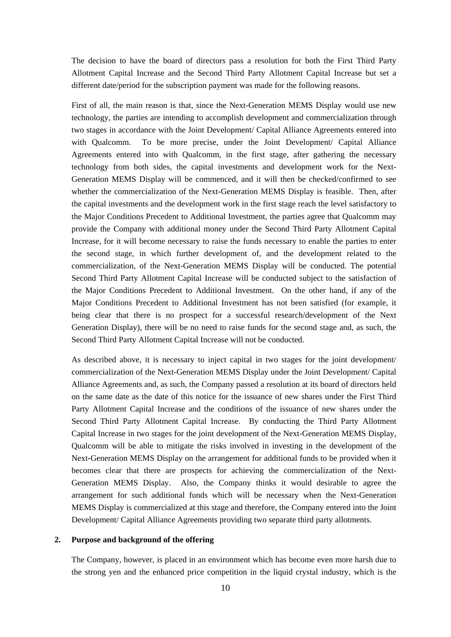The decision to have the board of directors pass a resolution for both the First Third Party Allotment Capital Increase and the Second Third Party Allotment Capital Increase but set a different date/period for the subscription payment was made for the following reasons.

First of all, the main reason is that, since the Next-Generation MEMS Display would use new technology, the parties are intending to accomplish development and commercialization through two stages in accordance with the Joint Development/ Capital Alliance Agreements entered into with Qualcomm. To be more precise, under the Joint Development/ Capital Alliance Agreements entered into with Qualcomm, in the first stage, after gathering the necessary technology from both sides, the capital investments and development work for the Next-Generation MEMS Display will be commenced, and it will then be checked/confirmed to see whether the commercialization of the Next-Generation MEMS Display is feasible. Then, after the capital investments and the development work in the first stage reach the level satisfactory to the Major Conditions Precedent to Additional Investment, the parties agree that Qualcomm may provide the Company with additional money under the Second Third Party Allotment Capital Increase, for it will become necessary to raise the funds necessary to enable the parties to enter the second stage, in which further development of, and the development related to the commercialization, of the Next-Generation MEMS Display will be conducted. The potential Second Third Party Allotment Capital Increase will be conducted subject to the satisfaction of the Major Conditions Precedent to Additional Investment. On the other hand, if any of the Major Conditions Precedent to Additional Investment has not been satisfied (for example, it being clear that there is no prospect for a successful research/development of the Next Generation Display), there will be no need to raise funds for the second stage and, as such, the Second Third Party Allotment Capital Increase will not be conducted.

As described above, it is necessary to inject capital in two stages for the joint development/ commercialization of the Next-Generation MEMS Display under the Joint Development/ Capital Alliance Agreements and, as such, the Company passed a resolution at its board of directors held on the same date as the date of this notice for the issuance of new shares under the First Third Party Allotment Capital Increase and the conditions of the issuance of new shares under the Second Third Party Allotment Capital Increase. By conducting the Third Party Allotment Capital Increase in two stages for the joint development of the Next-Generation MEMS Display, Qualcomm will be able to mitigate the risks involved in investing in the development of the Next-Generation MEMS Display on the arrangement for additional funds to be provided when it becomes clear that there are prospects for achieving the commercialization of the Next-Generation MEMS Display. Also, the Company thinks it would desirable to agree the arrangement for such additional funds which will be necessary when the Next-Generation MEMS Display is commercialized at this stage and therefore, the Company entered into the Joint Development/ Capital Alliance Agreements providing two separate third party allotments.

#### **2. Purpose and background of the offering**

The Company, however, is placed in an environment which has become even more harsh due to the strong yen and the enhanced price competition in the liquid crystal industry, which is the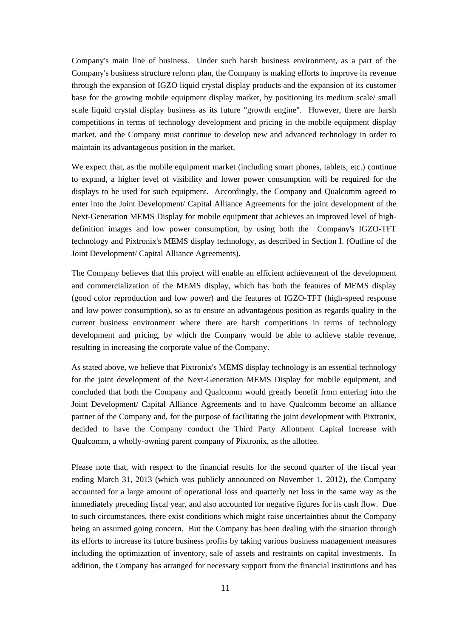Company's main line of business. Under such harsh business environment, as a part of the Company's business structure reform plan, the Company is making efforts to improve its revenue through the expansion of IGZO liquid crystal display products and the expansion of its customer base for the growing mobile equipment display market, by positioning its medium scale/ small scale liquid crystal display business as its future "growth engine". However, there are harsh competitions in terms of technology development and pricing in the mobile equipment display market, and the Company must continue to develop new and advanced technology in order to maintain its advantageous position in the market.

We expect that, as the mobile equipment market (including smart phones, tablets, etc.) continue to expand, a higher level of visibility and lower power consumption will be required for the displays to be used for such equipment. Accordingly, the Company and Qualcomm agreed to enter into the Joint Development/ Capital Alliance Agreements for the joint development of the Next-Generation MEMS Display for mobile equipment that achieves an improved level of highdefinition images and low power consumption, by using both the Company's IGZO-TFT technology and Pixtronix's MEMS display technology, as described in Section I. (Outline of the Joint Development/ Capital Alliance Agreements).

The Company believes that this project will enable an efficient achievement of the development and commercialization of the MEMS display, which has both the features of MEMS display (good color reproduction and low power) and the features of IGZO-TFT (high-speed response and low power consumption), so as to ensure an advantageous position as regards quality in the current business environment where there are harsh competitions in terms of technology development and pricing, by which the Company would be able to achieve stable revenue, resulting in increasing the corporate value of the Company.

As stated above, we believe that Pixtronix's MEMS display technology is an essential technology for the joint development of the Next-Generation MEMS Display for mobile equipment, and concluded that both the Company and Qualcomm would greatly benefit from entering into the Joint Development/ Capital Alliance Agreements and to have Qualcomm become an alliance partner of the Company and, for the purpose of facilitating the joint development with Pixtronix, decided to have the Company conduct the Third Party Allotment Capital Increase with Qualcomm, a wholly-owning parent company of Pixtronix, as the allottee.

Please note that, with respect to the financial results for the second quarter of the fiscal year ending March 31, 2013 (which was publicly announced on November 1, 2012), the Company accounted for a large amount of operational loss and quarterly net loss in the same way as the immediately preceding fiscal year, and also accounted for negative figures for its cash flow. Due to such circumstances, there exist conditions which might raise uncertainties about the Company being an assumed going concern. But the Company has been dealing with the situation through its efforts to increase its future business profits by taking various business management measures including the optimization of inventory, sale of assets and restraints on capital investments. In addition, the Company has arranged for necessary support from the financial institutions and has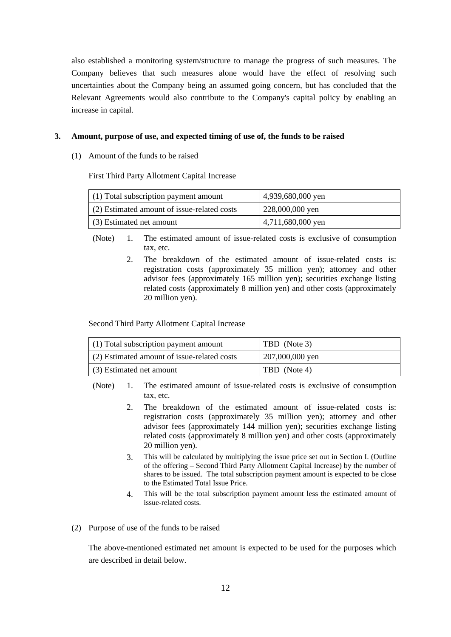also established a monitoring system/structure to manage the progress of such measures. The Company believes that such measures alone would have the effect of resolving such uncertainties about the Company being an assumed going concern, but has concluded that the Relevant Agreements would also contribute to the Company's capital policy by enabling an increase in capital.

## **3. Amount, purpose of use, and expected timing of use of, the funds to be raised**

(1) Amount of the funds to be raised

First Third Party Allotment Capital Increase

| $(1)$ Total subscription payment amount     | 4,939,680,000 yen |  |
|---------------------------------------------|-------------------|--|
| (2) Estimated amount of issue-related costs | 228,000,000 yen   |  |
| (3) Estimated net amount                    | 4,711,680,000 yen |  |

(Note) 1. The estimated amount of issue-related costs is exclusive of consumption tax, etc.

> 2. The breakdown of the estimated amount of issue-related costs is: registration costs (approximately 35 million yen); attorney and other advisor fees (approximately 165 million yen); securities exchange listing related costs (approximately 8 million yen) and other costs (approximately 20 million yen).

Second Third Party Allotment Capital Increase

| $(1)$ Total subscription payment amount     | TBD (Note 3)    |  |
|---------------------------------------------|-----------------|--|
| (2) Estimated amount of issue-related costs | 207,000,000 yen |  |
| (3) Estimated net amount                    | TBD (Note 4)    |  |

(Note) 1. The estimated amount of issue-related costs is exclusive of consumption tax, etc.

- 2. The breakdown of the estimated amount of issue-related costs is: registration costs (approximately 35 million yen); attorney and other advisor fees (approximately 144 million yen); securities exchange listing related costs (approximately 8 million yen) and other costs (approximately 20 million yen).
- 3. This will be calculated by multiplying the issue price set out in Section I. (Outline of the offering – Second Third Party Allotment Capital Increase) by the number of shares to be issued. The total subscription payment amount is expected to be close to the Estimated Total Issue Price.
- 4. This will be the total subscription payment amount less the estimated amount of issue-related costs.
- (2) Purpose of use of the funds to be raised

The above-mentioned estimated net amount is expected to be used for the purposes which are described in detail below.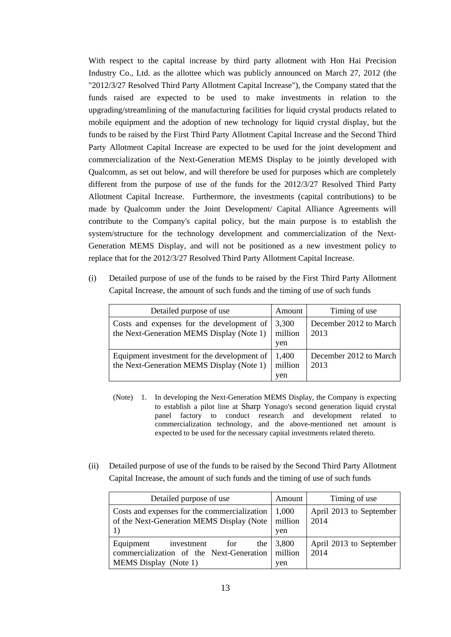With respect to the capital increase by third party allotment with Hon Hai Precision Industry Co., Ltd. as the allottee which was publicly announced on March 27, 2012 (the "2012/3/27 Resolved Third Party Allotment Capital Increase"), the Company stated that the funds raised are expected to be used to make investments in relation to the upgrading/streamlining of the manufacturing facilities for liquid crystal products related to mobile equipment and the adoption of new technology for liquid crystal display, but the funds to be raised by the First Third Party Allotment Capital Increase and the Second Third Party Allotment Capital Increase are expected to be used for the joint development and commercialization of the Next-Generation MEMS Display to be jointly developed with Qualcomm, as set out below, and will therefore be used for purposes which are completely different from the purpose of use of the funds for the 2012/3/27 Resolved Third Party Allotment Capital Increase. Furthermore, the investments (capital contributions) to be made by Qualcomm under the Joint Development/ Capital Alliance Agreements will contribute to the Company's capital policy, but the main purpose is to establish the system/structure for the technology development and commercialization of the Next-Generation MEMS Display, and will not be positioned as a new investment policy to replace that for the 2012/3/27 Resolved Third Party Allotment Capital Increase.

(i) Detailed purpose of use of the funds to be raised by the First Third Party Allotment Capital Increase, the amount of such funds and the timing of use of such funds

| Detailed purpose of use                                                                  | Amount                  | Timing of use                  |
|------------------------------------------------------------------------------------------|-------------------------|--------------------------------|
| Costs and expenses for the development of<br>the Next-Generation MEMS Display (Note 1)   | 3,300<br>million<br>yen | December 2012 to March<br>2013 |
| Equipment investment for the development of<br>the Next-Generation MEMS Display (Note 1) | 1,400<br>million<br>ven | December 2012 to March<br>2013 |

- (Note) 1. In developing the Next-Generation MEMS Display, the Company is expecting to establish a pilot line at Sharp Yonago's second generation liquid crystal panel factory to conduct research and development related to commercialization technology, and the above-mentioned net amount is expected to be used for the necessary capital investments related thereto.
- (ii) Detailed purpose of use of the funds to be raised by the Second Third Party Allotment Capital Increase, the amount of such funds and the timing of use of such funds

| Detailed purpose of use                                                                                    | Amount                  | Timing of use                   |
|------------------------------------------------------------------------------------------------------------|-------------------------|---------------------------------|
| Costs and expenses for the commercialization<br>of the Next-Generation MEMS Display (Note                  | 1.000<br>million<br>yen | April 2013 to September<br>2014 |
| Equipment<br>investment<br>for<br>the<br>commercialization of the Next-Generation<br>MEMS Display (Note 1) | 3,800<br>million<br>yen | April 2013 to September<br>2014 |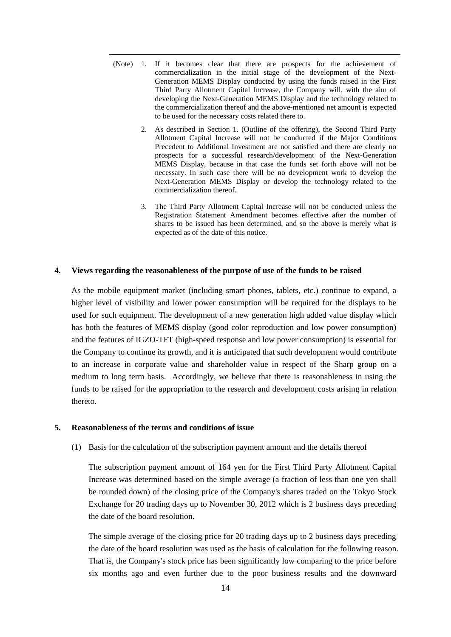- (Note) 1. If it becomes clear that there are prospects for the achievement of commercialization in the initial stage of the development of the Next-Generation MEMS Display conducted by using the funds raised in the First Third Party Allotment Capital Increase, the Company will, with the aim of developing the Next-Generation MEMS Display and the technology related to the commercialization thereof and the above-mentioned net amount is expected to be used for the necessary costs related there to.
	- 2. As described in Section 1. (Outline of the offering), the Second Third Party Allotment Capital Increase will not be conducted if the Major Conditions Precedent to Additional Investment are not satisfied and there are clearly no prospects for a successful research/development of the Next-Generation MEMS Display, because in that case the funds set forth above will not be necessary. In such case there will be no development work to develop the Next-Generation MEMS Display or develop the technology related to the commercialization thereof.
	- 3. The Third Party Allotment Capital Increase will not be conducted unless the Registration Statement Amendment becomes effective after the number of shares to be issued has been determined, and so the above is merely what is expected as of the date of this notice.

#### **4. Views regarding the reasonableness of the purpose of use of the funds to be raised**

As the mobile equipment market (including smart phones, tablets, etc.) continue to expand, a higher level of visibility and lower power consumption will be required for the displays to be used for such equipment. The development of a new generation high added value display which has both the features of MEMS display (good color reproduction and low power consumption) and the features of IGZO-TFT (high-speed response and low power consumption) is essential for the Company to continue its growth, and it is anticipated that such development would contribute to an increase in corporate value and shareholder value in respect of the Sharp group on a medium to long term basis. Accordingly, we believe that there is reasonableness in using the funds to be raised for the appropriation to the research and development costs arising in relation thereto.

## **5. Reasonableness of the terms and conditions of issue**

(1) Basis for the calculation of the subscription payment amount and the details thereof

The subscription payment amount of 164 yen for the First Third Party Allotment Capital Increase was determined based on the simple average (a fraction of less than one yen shall be rounded down) of the closing price of the Company's shares traded on the Tokyo Stock Exchange for 20 trading days up to November 30, 2012 which is 2 business days preceding the date of the board resolution.

The simple average of the closing price for 20 trading days up to 2 business days preceding the date of the board resolution was used as the basis of calculation for the following reason. That is, the Company's stock price has been significantly low comparing to the price before six months ago and even further due to the poor business results and the downward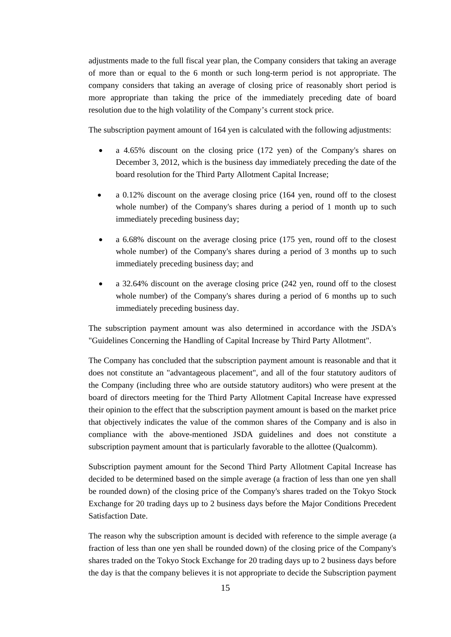adjustments made to the full fiscal year plan, the Company considers that taking an average of more than or equal to the 6 month or such long-term period is not appropriate. The company considers that taking an average of closing price of reasonably short period is more appropriate than taking the price of the immediately preceding date of board resolution due to the high volatility of the Company's current stock price.

The subscription payment amount of 164 yen is calculated with the following adjustments:

- a 4.65% discount on the closing price (172 yen) of the Company's shares on December 3, 2012, which is the business day immediately preceding the date of the board resolution for the Third Party Allotment Capital Increase;
- a 0.12% discount on the average closing price (164 yen, round off to the closest whole number) of the Company's shares during a period of 1 month up to such immediately preceding business day;
- a 6.68% discount on the average closing price (175 yen, round off to the closest whole number) of the Company's shares during a period of 3 months up to such immediately preceding business day; and
- a 32.64% discount on the average closing price (242 yen, round off to the closest whole number) of the Company's shares during a period of 6 months up to such immediately preceding business day.

The subscription payment amount was also determined in accordance with the JSDA's "Guidelines Concerning the Handling of Capital Increase by Third Party Allotment".

The Company has concluded that the subscription payment amount is reasonable and that it does not constitute an "advantageous placement", and all of the four statutory auditors of the Company (including three who are outside statutory auditors) who were present at the board of directors meeting for the Third Party Allotment Capital Increase have expressed their opinion to the effect that the subscription payment amount is based on the market price that objectively indicates the value of the common shares of the Company and is also in compliance with the above-mentioned JSDA guidelines and does not constitute a subscription payment amount that is particularly favorable to the allottee (Qualcomm).

Subscription payment amount for the Second Third Party Allotment Capital Increase has decided to be determined based on the simple average (a fraction of less than one yen shall be rounded down) of the closing price of the Company's shares traded on the Tokyo Stock Exchange for 20 trading days up to 2 business days before the Major Conditions Precedent Satisfaction Date.

The reason why the subscription amount is decided with reference to the simple average (a fraction of less than one yen shall be rounded down) of the closing price of the Company's shares traded on the Tokyo Stock Exchange for 20 trading days up to 2 business days before the day is that the company believes it is not appropriate to decide the Subscription payment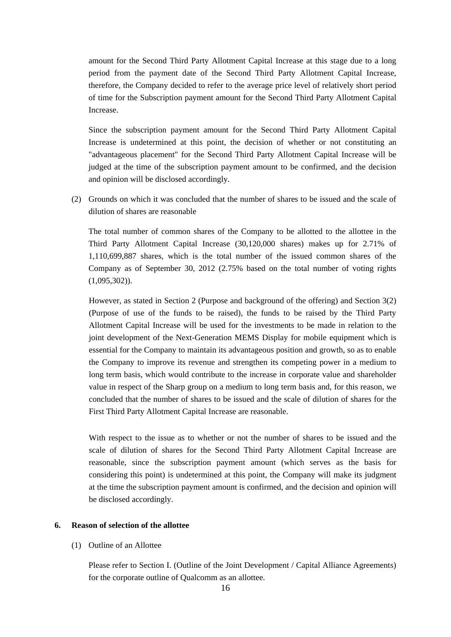amount for the Second Third Party Allotment Capital Increase at this stage due to a long period from the payment date of the Second Third Party Allotment Capital Increase, therefore, the Company decided to refer to the average price level of relatively short period of time for the Subscription payment amount for the Second Third Party Allotment Capital Increase.

Since the subscription payment amount for the Second Third Party Allotment Capital Increase is undetermined at this point, the decision of whether or not constituting an "advantageous placement" for the Second Third Party Allotment Capital Increase will be judged at the time of the subscription payment amount to be confirmed, and the decision and opinion will be disclosed accordingly.

(2) Grounds on which it was concluded that the number of shares to be issued and the scale of dilution of shares are reasonable

The total number of common shares of the Company to be allotted to the allottee in the Third Party Allotment Capital Increase (30,120,000 shares) makes up for 2.71% of 1,110,699,887 shares, which is the total number of the issued common shares of the Company as of September 30, 2012 (2.75% based on the total number of voting rights  $(1,095,302)$ ).

However, as stated in Section 2 (Purpose and background of the offering) and Section 3(2) (Purpose of use of the funds to be raised), the funds to be raised by the Third Party Allotment Capital Increase will be used for the investments to be made in relation to the joint development of the Next-Generation MEMS Display for mobile equipment which is essential for the Company to maintain its advantageous position and growth, so as to enable the Company to improve its revenue and strengthen its competing power in a medium to long term basis, which would contribute to the increase in corporate value and shareholder value in respect of the Sharp group on a medium to long term basis and, for this reason, we concluded that the number of shares to be issued and the scale of dilution of shares for the First Third Party Allotment Capital Increase are reasonable.

With respect to the issue as to whether or not the number of shares to be issued and the scale of dilution of shares for the Second Third Party Allotment Capital Increase are reasonable, since the subscription payment amount (which serves as the basis for considering this point) is undetermined at this point, the Company will make its judgment at the time the subscription payment amount is confirmed, and the decision and opinion will be disclosed accordingly.

# **6. Reason of selection of the allottee**

#### (1) Outline of an Allottee

Please refer to Section I. (Outline of the Joint Development / Capital Alliance Agreements) for the corporate outline of Qualcomm as an allottee.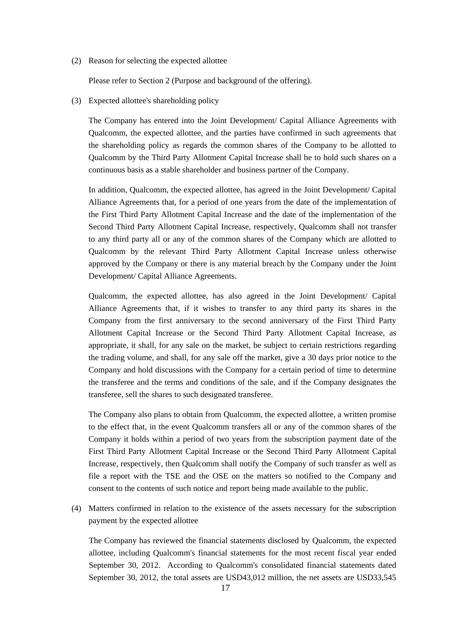(2) Reason for selecting the expected allottee

Please refer to Section 2 (Purpose and background of the offering).

(3) Expected allottee's shareholding policy

The Company has entered into the Joint Development/ Capital Alliance Agreements with Qualcomm, the expected allottee, and the parties have confirmed in such agreements that the shareholding policy as regards the common shares of the Company to be allotted to Qualcomm by the Third Party Allotment Capital Increase shall be to hold such shares on a continuous basis as a stable shareholder and business partner of the Company.

In addition, Qualcomm, the expected allottee, has agreed in the Joint Development/ Capital Alliance Agreements that, for a period of one years from the date of the implementation of the First Third Party Allotment Capital Increase and the date of the implementation of the Second Third Party Allotment Capital Increase, respectively, Qualcomm shall not transfer to any third party all or any of the common shares of the Company which are allotted to Qualcomm by the relevant Third Party Allotment Capital Increase unless otherwise approved by the Company or there is any material breach by the Company under the Joint Development/ Capital Alliance Agreements.

Qualcomm, the expected allottee, has also agreed in the Joint Development/ Capital Alliance Agreements that, if it wishes to transfer to any third party its shares in the Company from the first anniversary to the second anniversary of the First Third Party Allotment Capital Increase or the Second Third Party Allotment Capital Increase, as appropriate, it shall, for any sale on the market, be subject to certain restrictions regarding the trading volume, and shall, for any sale off the market, give a 30 days prior notice to the Company and hold discussions with the Company for a certain period of time to determine the transferee and the terms and conditions of the sale, and if the Company designates the transferee, sell the shares to such designated transferee.

The Company also plans to obtain from Qualcomm, the expected allottee, a written promise to the effect that, in the event Qualcomm transfers all or any of the common shares of the Company it holds within a period of two years from the subscription payment date of the First Third Party Allotment Capital Increase or the Second Third Party Allotment Capital Increase, respectively, then Qualcomm shall notify the Company of such transfer as well as file a report with the TSE and the OSE on the matters so notified to the Company and consent to the contents of such notice and report being made available to the public.

(4) Matters confirmed in relation to the existence of the assets necessary for the subscription payment by the expected allottee

The Company has reviewed the financial statements disclosed by Qualcomm, the expected allottee, including Qualcomm's financial statements for the most recent fiscal year ended September 30, 2012. According to Qualcomm's consolidated financial statements dated September 30, 2012, the total assets are USD43,012 million, the net assets are USD33,545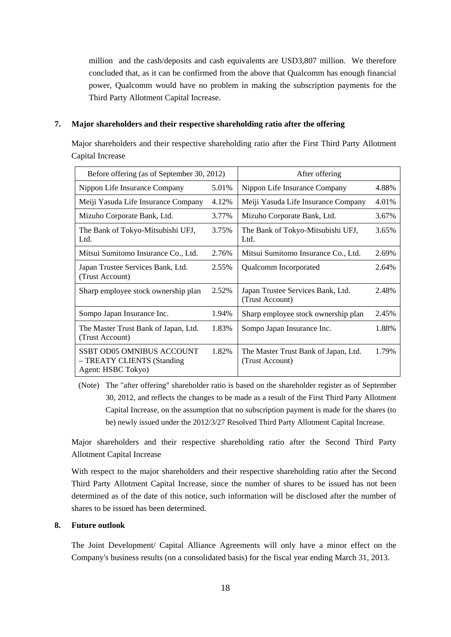million and the cash/deposits and cash equivalents are USD3,807 million. We therefore concluded that, as it can be confirmed from the above that Qualcomm has enough financial power, Qualcomm would have no problem in making the subscription payments for the Third Party Allotment Capital Increase.

## **7. Major shareholders and their respective shareholding ratio after the offering**

Major shareholders and their respective shareholding ratio after the First Third Party Allotment Capital Increase

| Before offering (as of September 30, 2012)                                           |       | After offering                                          |       |
|--------------------------------------------------------------------------------------|-------|---------------------------------------------------------|-------|
| Nippon Life Insurance Company                                                        | 5.01% | Nippon Life Insurance Company                           | 4.88% |
| Meiji Yasuda Life Insurance Company                                                  | 4.12% | Meiji Yasuda Life Insurance Company                     | 4.01% |
| Mizuho Corporate Bank, Ltd.                                                          | 3.77% | Mizuho Corporate Bank, Ltd.                             | 3.67% |
| The Bank of Tokyo-Mitsubishi UFJ,<br>Ltd.                                            | 3.75% | The Bank of Tokyo-Mitsubishi UFJ,<br>Ltd.               | 3.65% |
| Mitsui Sumitomo Insurance Co., Ltd.                                                  | 2.76% | Mitsui Sumitomo Insurance Co., Ltd.                     | 2.69% |
| Japan Trustee Services Bank, Ltd.<br>(Trust Account)                                 | 2.55% | Qualcomm Incorporated                                   | 2.64% |
| Sharp employee stock ownership plan                                                  | 2.52% | Japan Trustee Services Bank, Ltd.<br>(Trust Account)    | 2.48% |
| Sompo Japan Insurance Inc.                                                           | 1.94% | Sharp employee stock ownership plan                     | 2.45% |
| The Master Trust Bank of Japan, Ltd.<br>(Trust Account)                              | 1.83% | Sompo Japan Insurance Inc.                              | 1.88% |
| <b>SSBT OD05 OMNIBUS ACCOUNT</b><br>- TREATY CLIENTS (Standing<br>Agent: HSBC Tokyo) | 1.82% | The Master Trust Bank of Japan, Ltd.<br>(Trust Account) | 1.79% |

(Note) The "after offering" shareholder ratio is based on the shareholder register as of September 30, 2012, and reflects the changes to be made as a result of the First Third Party Allotment Capital Increase, on the assumption that no subscription payment is made for the shares (to be) newly issued under the 2012/3/27 Resolved Third Party Allotment Capital Increase.

Major shareholders and their respective shareholding ratio after the Second Third Party Allotment Capital Increase

With respect to the major shareholders and their respective shareholding ratio after the Second Third Party Allotment Capital Increase, since the number of shares to be issued has not been determined as of the date of this notice, such information will be disclosed after the number of shares to be issued has been determined.

# **8. Future outlook**

The Joint Development/ Capital Alliance Agreements will only have a minor effect on the Company's business results (on a consolidated basis) for the fiscal year ending March 31, 2013.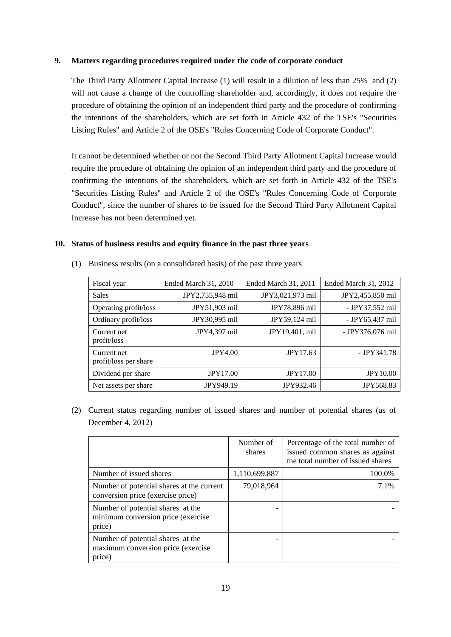# **9. Matters regarding procedures required under the code of corporate conduct**

The Third Party Allotment Capital Increase (1) will result in a dilution of less than 25% and (2) will not cause a change of the controlling shareholder and, accordingly, it does not require the procedure of obtaining the opinion of an independent third party and the procedure of confirming the intentions of the shareholders, which are set forth in Article 432 of the TSE's "Securities Listing Rules" and Article 2 of the OSE's "Rules Concerning Code of Corporate Conduct".

It cannot be determined whether or not the Second Third Party Allotment Capital Increase would require the procedure of obtaining the opinion of an independent third party and the procedure of confirming the intentions of the shareholders, which are set forth in Article 432 of the TSE's "Securities Listing Rules" and Article 2 of the OSE's "Rules Concerning Code of Corporate Conduct", since the number of shares to be issued for the Second Third Party Allotment Capital Increase has not been determined yet.

#### **10. Status of business results and equity finance in the past three years**

| Fiscal year                          | <b>Ended March 31, 2010</b> | <b>Ended March 31, 2011</b> | Ended March 31, 2012 |
|--------------------------------------|-----------------------------|-----------------------------|----------------------|
| <b>Sales</b>                         | JPY2,755,948 mil            | JPY3,021,973 mil            | JPY2,455,850 mil     |
| Operating profit/loss                | JPY51,903 mil               | JPY78,896 mil               | - JPY37,552 mil      |
| Ordinary profit/loss                 | JPY30,995 mil               | JPY59,124 mil               | - JPY65,437 mil      |
| Current net<br>profit/loss           | JPY4,397 mil                | JPY19,401, mil              | - JPY376,076 mil     |
| Current net<br>profit/loss per share | <b>JPY4.00</b>              | JPY17.63                    | $-$ JPY341.78        |
| Dividend per share                   | <b>JPY17.00</b>             | <b>JPY17.00</b>             | <b>JPY10.00</b>      |
| Net assets per share                 | JPY949.19                   | JPY932.46                   | <b>JPY568.83</b>     |

(1) Business results (on a consolidated basis) of the past three years

(2) Current status regarding number of issued shares and number of potential shares (as of December 4, 2012)

|                                                                                   | Number of<br>shares | Percentage of the total number of<br>issued common shares as against<br>the total number of issued shares |
|-----------------------------------------------------------------------------------|---------------------|-----------------------------------------------------------------------------------------------------------|
| Number of issued shares                                                           | 1,110,699,887       | 100.0%                                                                                                    |
| Number of potential shares at the current<br>conversion price (exercise price)    | 79,018,964          | 7.1%                                                                                                      |
| Number of potential shares at the<br>minimum conversion price (exercise<br>price) |                     |                                                                                                           |
| Number of potential shares at the<br>maximum conversion price (exercise<br>price) |                     |                                                                                                           |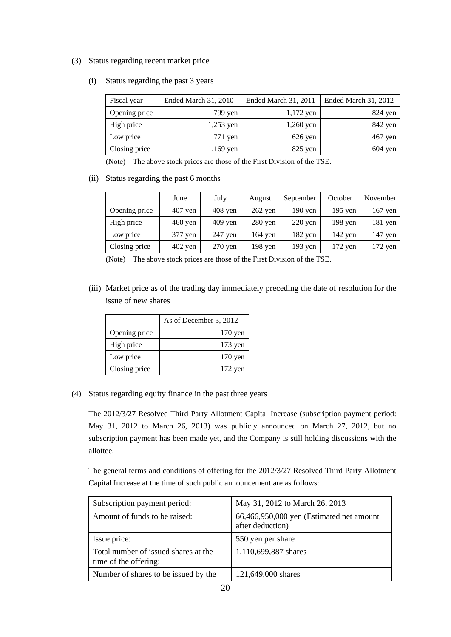# (3) Status regarding recent market price

(i) Status regarding the past 3 years

| Fiscal year   | Ended March 31, 2010 | Ended March 31, 2011 | Ended March 31, 2012 |
|---------------|----------------------|----------------------|----------------------|
| Opening price | 799 yen              | $1,172$ yen          | $824$ yen            |
| High price    | $1,253$ yen          | $1,260$ yen          | 842 yen              |
| Low price     | 771 yen              | $626$ yen            | 467 yen              |
| Closing price | $1,169$ yen          | $825$ yen            | $604$ yen            |

(Note) The above stock prices are those of the First Division of the TSE.

(ii) Status regarding the past 6 months

|               | June               | July              | August    | September          | October   | November  |
|---------------|--------------------|-------------------|-----------|--------------------|-----------|-----------|
| Opening price | $407$ yen          | $408$ yen         | $262$ yen | $190$ yen          | $195$ yen | $167$ yen |
| High price    | $460 \,\text{yen}$ | $409$ yen         | $280$ yen | $220 \,\text{yen}$ | $198$ yen | $181$ yen |
| Low price     | 377 yen            | $247$ yen         | 164 yen   | $182$ yen          | $142$ yen | $147$ yen |
| Closing price | $402$ yen          | $270 \text{ yen}$ | $198$ yen | $193$ yen          | $172$ yen | $172$ yen |

(Note) The above stock prices are those of the First Division of the TSE.

(iii) Market price as of the trading day immediately preceding the date of resolution for the issue of new shares

|               | As of December 3, 2012 |
|---------------|------------------------|
| Opening price | $170$ yen              |
| High price    | $173$ yen              |
| Low price     | $170$ yen              |
| Closing price | $172$ yen              |

(4) Status regarding equity finance in the past three years

The 2012/3/27 Resolved Third Party Allotment Capital Increase (subscription payment period: May 31, 2012 to March 26, 2013) was publicly announced on March 27, 2012, but no subscription payment has been made yet, and the Company is still holding discussions with the allottee.

The general terms and conditions of offering for the 2012/3/27 Resolved Third Party Allotment Capital Increase at the time of such public announcement are as follows:

| Subscription payment period:                                  | May 31, 2012 to March 26, 2013                               |
|---------------------------------------------------------------|--------------------------------------------------------------|
| Amount of funds to be raised:                                 | 66,466,950,000 yen (Estimated net amount<br>after deduction) |
| Issue price:                                                  | 550 yen per share                                            |
| Total number of issued shares at the<br>time of the offering: | 1,110,699,887 shares                                         |
| Number of shares to be issued by the                          | 121,649,000 shares                                           |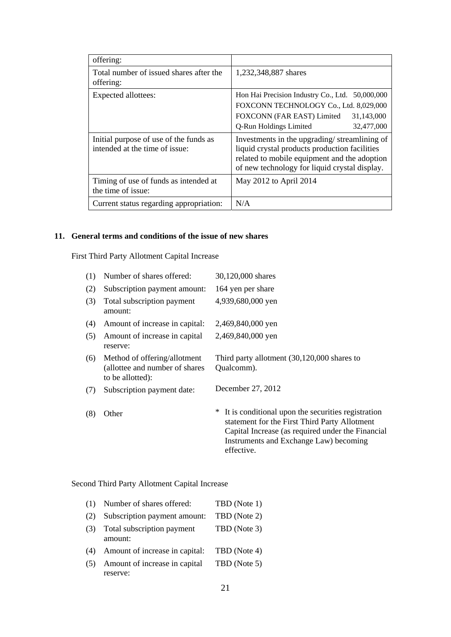| offering:                                                                |                                                                                                                                                                                                |  |
|--------------------------------------------------------------------------|------------------------------------------------------------------------------------------------------------------------------------------------------------------------------------------------|--|
| Total number of issued shares after the<br>offering:                     | 1,232,348,887 shares                                                                                                                                                                           |  |
| Expected allottees:                                                      | Hon Hai Precision Industry Co., Ltd.<br>50,000,000<br>FOXCONN TECHNOLOGY Co., Ltd. 8,029,000<br>FOXCONN (FAR EAST) Limited<br>31,143,000<br>Q-Run Holdings Limited<br>32,477,000               |  |
| Initial purpose of use of the funds as<br>intended at the time of issue: | Investments in the upgrading/streamlining of<br>liquid crystal products production facilities<br>related to mobile equipment and the adoption<br>of new technology for liquid crystal display. |  |
| Timing of use of funds as intended at<br>the time of issue:              | May 2012 to April 2014                                                                                                                                                                         |  |
| Current status regarding appropriation:                                  | N/A                                                                                                                                                                                            |  |

## **11. General terms and conditions of the issue of new shares**

First Third Party Allotment Capital Increase

| (1) | Number of shares offered:                                                           | 30,120,000 shares                                                                                                                                                                                                |
|-----|-------------------------------------------------------------------------------------|------------------------------------------------------------------------------------------------------------------------------------------------------------------------------------------------------------------|
| (2) | Subscription payment amount:                                                        | 164 yen per share                                                                                                                                                                                                |
| (3) | Total subscription payment<br>amount:                                               | 4,939,680,000 yen                                                                                                                                                                                                |
| (4) | Amount of increase in capital:                                                      | 2,469,840,000 yen                                                                                                                                                                                                |
| (5) | Amount of increase in capital<br>reserve:                                           | 2,469,840,000 yen                                                                                                                                                                                                |
| (6) | Method of offering/allotment<br>(allottee and number of shares)<br>to be allotted): | Third party allotment $(30,120,000)$ shares to<br>Qualcomm).                                                                                                                                                     |
| (7) | Subscription payment date:                                                          | December 27, 2012                                                                                                                                                                                                |
| (8) | Other                                                                               | It is conditional upon the securities registration<br>statement for the First Third Party Allotment<br>Capital Increase (as required under the Financial<br>Instruments and Exchange Law) becoming<br>effective. |

# Second Third Party Allotment Capital Increase

| (1) | Number of shares offered:                 | TBD (Note 1) |
|-----|-------------------------------------------|--------------|
| (2) | Subscription payment amount:              | TBD (Note 2) |
| (3) | Total subscription payment<br>amount:     | TBD (Note 3) |
| (4) | Amount of increase in capital:            | TBD (Note 4) |
| (5) | Amount of increase in capital<br>reserve: | TBD (Note 5) |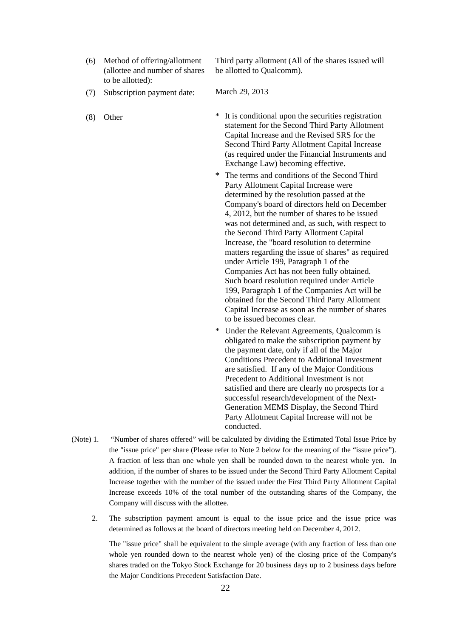(6) Method of offering/allotment (allottee and number of shares to be allotted):

Third party allotment (All of the shares issued will be allotted to Qualcomm).

- (7) Subscription payment date: March 29, 2013
- 
- (8) Other \* It is conditional upon the securities registration statement for the Second Third Party Allotment Capital Increase and the Revised SRS for the Second Third Party Allotment Capital Increase (as required under the Financial Instruments and Exchange Law) becoming effective.
	- \* The terms and conditions of the Second Third Party Allotment Capital Increase were determined by the resolution passed at the Company's board of directors held on December 4, 2012, but the number of shares to be issued was not determined and, as such, with respect to the Second Third Party Allotment Capital Increase, the "board resolution to determine matters regarding the issue of shares" as required under Article 199, Paragraph 1 of the Companies Act has not been fully obtained. Such board resolution required under Article 199, Paragraph 1 of the Companies Act will be obtained for the Second Third Party Allotment Capital Increase as soon as the number of shares to be issued becomes clear.
	- \* Under the Relevant Agreements, Qualcomm is obligated to make the subscription payment by the payment date, only if all of the Major Conditions Precedent to Additional Investment are satisfied. If any of the Major Conditions Precedent to Additional Investment is not satisfied and there are clearly no prospects for a successful research/development of the Next-Generation MEMS Display, the Second Third Party Allotment Capital Increase will not be conducted.
- (Note) 1. "Number of shares offered" will be calculated by dividing the Estimated Total Issue Price by the "issue price" per share (Please refer to Note 2 below for the meaning of the "issue price"). A fraction of less than one whole yen shall be rounded down to the nearest whole yen. In addition, if the number of shares to be issued under the Second Third Party Allotment Capital Increase together with the number of the issued under the First Third Party Allotment Capital Increase exceeds 10% of the total number of the outstanding shares of the Company, the Company will discuss with the allottee.
	- 2. The subscription payment amount is equal to the issue price and the issue price was determined as follows at the board of directors meeting held on December 4, 2012.

The "issue price" shall be equivalent to the simple average (with any fraction of less than one whole yen rounded down to the nearest whole yen) of the closing price of the Company's shares traded on the Tokyo Stock Exchange for 20 business days up to 2 business days before the Major Conditions Precedent Satisfaction Date.